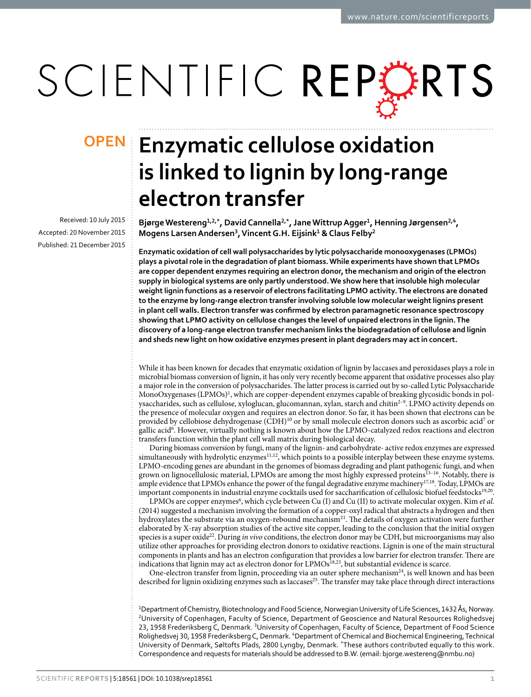# SCIENTIFIC REPERTS

Received: 10 July 2015 accepted: 20 November 2015 Published: 21 December 2015

## **OPEN** Enzymatic cellulose oxidation **is linked to lignin by long-range electron transfer**

**BjørgeWestereng<sup>1</sup>,2,\*, DavidCannella2,\*, JaneWittrup Agger<sup>1</sup>, Henning Jørgensen<sup>2</sup>,<sup>4</sup>, Mogens Larsen Andersen<sup>3</sup>, VincentG.H. Eijsink<sup>1</sup> & Claus Felby<sup>2</sup>**

**Enzymatic oxidation of cell wall polysaccharides by lytic polysaccharide monooxygenases (LPMOs) plays a pivotal role in the degradation of plant biomass. While experiments have shown that LPMOs are copper dependent enzymes requiring an electron donor, the mechanism and origin of the electron supply in biological systems are only partly understood. We show here that insoluble high molecular weight lignin functions as a reservoir of electrons facilitating LPMO activity. The electrons are donated to the enzyme by long-range electron transfer involving soluble low molecular weight lignins present in plant cell walls. Electron transfer was confirmed by electron paramagnetic resonance spectroscopy showing that LPMO activity on cellulose changes the level of unpaired electrons in the lignin. The discovery of a long-range electron transfer mechanism links the biodegradation of cellulose and lignin and sheds new light on how oxidative enzymes present in plant degraders may act in concert.**

While it has been known for decades that enzymatic oxidation of lignin by laccases and peroxidases plays a role in microbial biomass conversion of lignin, it has only very recently become apparent that oxidative processes also play a major role in the conversion of polysaccharides. The latter process is carried out by so-called Lytic Polysaccharide MonoOxygenases (LPMOs)<sup>1</sup>, which are copper-dependent enzymes capable of breaking glycosidic bonds in polysaccharides, such as cellulose, xyloglucan, glucomannan, xylan, starch and chiti[n2–9.](#page-7-1) LPMO activity depends on the presence of molecular oxygen and requires an electron donor. So far, it has been shown that electrons can be provided by cellobiose dehydrogenase (CDH)<sup>10</sup> or by small molecule electron donors such as ascorbic acid<sup>[7](#page-7-3)</sup> or gallic aci[d6](#page-7-4) . However, virtually nothing is known about how the LPMO-catalyzed redox reactions and electron transfers function within the plant cell wall matrix during biological decay.

During biomass conversion by fungi, many of the lignin- and carbohydrate- active redox enzymes are expressed simultaneously with hydrolytic enzymes<sup>11,12</sup>, which points to a possible interplay between these enzyme systems. LPMO-encoding genes are abundant in the genomes of biomass degrading and plant pathogenic fungi, and when grown on lignocellulosic material, LPMOs are among the most highly expressed proteins<sup>13-16</sup>. Notably, there is ample evidence that LPMOs enhance the power of the fungal degradative enzyme machinery<sup>17,[18](#page-7-9)</sup>. Today, LPMOs are important components in industrial enzyme cocktails used for saccharification of cellulosic biofuel feedstocks<sup>19,20</sup>.

LPMOs are copper enzymes<sup>[6](#page-7-4)</sup>, which cycle between Cu (I) and Cu (II) to activate molecular oxygen. Kim *et al.* (2014) suggested a mechanism involving the formation of a copper-oxyl radical that abstracts a hydrogen and then hydroxylates the substrate via an oxygen-rebound mechanism<sup>21</sup>. The details of oxygen activation were further elaborated by X-ray absorption studies of the active site copper, leading to the conclusion that the initial oxygen species is a super oxide[22](#page-7-13). During *in vivo* conditions, the electron donor may be CDH, but microorganisms may also utilize other approaches for providing electron donors to oxidative reactions. Lignin is one of the main structural components in plants and has an electron configuration that provides a low barrier for electron transfer. There are indications that lignin may act as electron donor for LPMOs[18](#page-7-9),[23](#page-7-14), but substantial evidence is scarce.

One-electron transfer from lignin, proceeding via an outer sphere mechanism<sup>24</sup>, is well known and has been described for lignin oxidizing enzymes such as laccases<sup>[25](#page-7-16)</sup>. The transfer may take place through direct interactions

1 Department of Chemistry, Biotechnology and Food Science, Norwegian University of Life Sciences, 1432 Ås, Norway. <sup>2</sup>University of Copenhagen, Faculty of Science, Department of Geoscience and Natural Resources Rolighedsvej 23, 1958 Frederiksberg C, Denmark. <sup>3</sup>University of Copenhagen, Faculty of Science, Department of Food Science Rolighedsvej 30, 1958 Frederiksberg C, Denmark. <sup>4</sup>Department of Chemical and Biochemical Engineering, Technical University of Denmark, Søltofts Plads, 2800 Lyngby, Denmark. \*These authors contributed equally to this work. Correspondence and requests for materials should be addressed to B.W. (email: [bjorge.westereng@nmbu.no\)](mailto:bjorge.westereng@nmbu.no)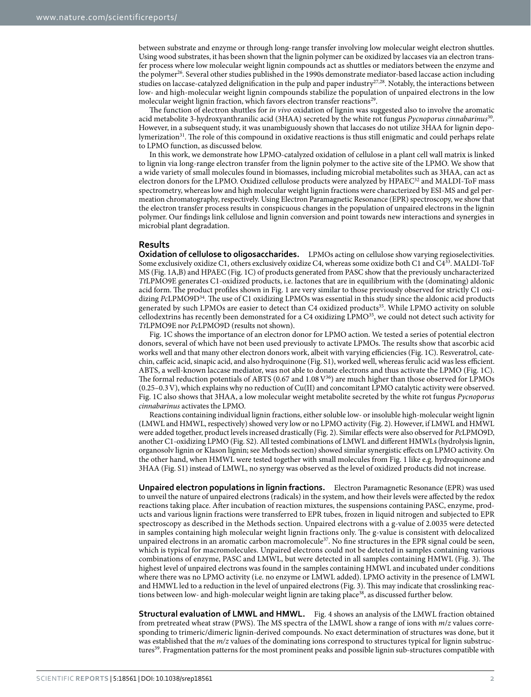between substrate and enzyme or through long-range transfer involving low molecular weight electron shuttles. Using wood substrates, it has been shown that the lignin polymer can be oxidized by laccases via an electron transfer process where low molecular weight lignin compounds act as shuttles or mediators between the enzyme and the polymer<sup>26</sup>. Several other studies published in the 1990s demonstrate mediator-based laccase action including studies on laccase-catalyzed delignification in the pulp and paper industry<sup>[27,](#page-7-18)28</sup>. Notably, the interactions between low- and high-molecular weight lignin compounds stabilize the population of unpaired electrons in the low molecular weight lignin fraction, which favors electron transfer reactions<sup>[29](#page-7-20)</sup>.

The function of electron shuttles for *in vivo* oxidation of lignin was suggested also to involve the aromatic acid metabolite 3-hydroxyanthranilic acid (3HAA) secreted by the white rot fungus *Pycnoporus cinnabarinus*[30.](#page-7-21) However, in a subsequent study, it was unambiguously shown that laccases do not utilize 3HAA for lignin depolymerization[31](#page-7-22). The role of this compound in oxidative reactions is thus still enigmatic and could perhaps relate to LPMO function, as discussed below.

In this work, we demonstrate how LPMO-catalyzed oxidation of cellulose in a plant cell wall matrix is linked to lignin via long-range electron transfer from the lignin polymer to the active site of the LPMO. We show that a wide variety of small molecules found in biomasses, including microbial metabolites such as 3HAA, can act as electron donors for the LPMO. Oxidized cellulose products were analyzed by HPAEC<sup>32</sup> and MALDI-ToF mass spectrometry, whereas low and high molecular weight lignin fractions were characterized by ESI-MS and gel permeation chromatography, respectively. Using Electron Paramagnetic Resonance (EPR) spectroscopy, we show that the electron transfer process results in conspicuous changes in the population of unpaired electrons in the lignin polymer. Our findings link cellulose and lignin conversion and point towards new interactions and synergies in microbial plant degradation.

#### **Results**

**Oxidation of cellulose to oligosaccharides.** LPMOs acting on cellulose show varying regioselectivities. Some exclusively oxidize C1, others exclusively oxidize C4, whereas some oxidize both C1 and C4<sup>33</sup>. MALDI-ToF MS ([Fig. 1A,B\)](#page-2-0) and HPAEC ([Fig. 1C\)](#page-2-0) of products generated from PASC show that the previously uncharacterized *Tt*LPMO9E generates C1-oxidized products, i.e. lactones that are in equilibrium with the (dominating) aldonic acid form. The product profiles shown in [Fig. 1](#page-2-0) are very similar to those previously observed for strictly C1 oxidizing *Pc*LPMO9D[34](#page-7-25). The use of C1 oxidizing LPMOs was essential in this study since the aldonic acid products generated by such LPMOs are easier to detect than C4 oxidized products<sup>35</sup>. While LPMO activity on soluble cellodextrins has recently been demonstrated for a C4 oxidizing LPMO[35](#page-7-26), we could not detect such activity for *Tt*LPMO9E nor *Pc*LPMO9D (results not shown).

[Fig. 1C](#page-2-0) shows the importance of an electron donor for LPMO action. We tested a series of potential electron donors, several of which have not been used previously to activate LPMOs. The results show that ascorbic acid works well and that many other electron donors work, albeit with varying efficiencies ([Fig. 1C](#page-2-0)). Resveratrol, catechin, caffeic acid, sinapic acid, and also hydroquinone (Fig. S1), worked well, whereas ferulic acid was less efficient. ABTS, a well-known laccase mediator, was not able to donate electrons and thus activate the LPMO [\(Fig. 1C](#page-2-0)). The formal reduction potentials of ABTS (0.67 and 1.08 V<sup>36</sup>) are much higher than those observed for LPMOs (0.25–0.3V), which explains why no reduction of Cu(II) and concomitant LPMO catalytic activity were observed. [Fig. 1C](#page-2-0) also shows that 3HAA, a low molecular weight metabolite secreted by the white rot fungus *Pycnoporus cinnabarinus* activates the LPMO.

Reactions containing individual lignin fractions, either soluble low- or insoluble high-molecular weight lignin (LMWL and HMWL, respectively) showed very low or no LPMO activity [\(Fig. 2](#page-3-0)). However, if LMWL and HMWL were added together, product levels increased drastically [\(Fig. 2](#page-3-0)). Similar effects were also observed for *Pc*LPMO9D, another C1-oxidizing LPMO (Fig. S2). All tested combinations of LMWL and different HMWLs (hydrolysis lignin, organosolv lignin or Klason lignin; see Methods section) showed similar synergistic effects on LPMO activity. On the other hand, when HMWL were tested together with small molecules from [Fig. 1](#page-2-0) like e.g. hydroquinone and 3HAA (Fig. S1) instead of LMWL, no synergy was observed as the level of oxidized products did not increase.

**Unpaired electron populations in lignin fractions.** Electron Paramagnetic Resonance (EPR) was used to unveil the nature of unpaired electrons (radicals) in the system, and how their levels were affected by the redox reactions taking place. After incubation of reaction mixtures, the suspensions containing PASC, enzyme, products and various lignin fractions were transferred to EPR tubes, frozen in liquid nitrogen and subjected to EPR spectroscopy as described in the Methods section. Unpaired electrons with a g-value of 2.0035 were detected in samples containing high molecular weight lignin fractions only. The g-value is consistent with delocalized unpaired electrons in an aromatic carbon macromolecule<sup>[37](#page-7-27)</sup>. No fine structures in the EPR signal could be seen, which is typical for macromolecules. Unpaired electrons could not be detected in samples containing various combinations of enzyme, PASC and LMWL, but were detected in all samples containing HMWL [\(Fig. 3\)](#page-3-1). The highest level of unpaired electrons was found in the samples containing HMWL and incubated under conditions where there was no LPMO activity (i.e. no enzyme or LMWL added). LPMO activity in the presence of LMWL and HMWL led to a reduction in the level of unpaired electrons [\(Fig. 3](#page-3-1)). This may indicate that crosslinking reac-tions between low- and high-molecular weight lignin are taking place<sup>[38](#page-8-0)</sup>, as discussed further below.

**Structural evaluation of LMWL and HMWL.** [Fig. 4](#page-4-0) shows an analysis of the LMWL fraction obtained from pretreated wheat straw (PWS). The MS spectra of the LMWL show a range of ions with *m*/*z* values corresponding to trimeric/dimeric lignin-derived compounds. No exact determination of structures was done, but it was established that the *m/z* values of the dominating ions correspond to structures typical for lignin substructure[s39.](#page-8-1) Fragmentation patterns for the most prominent peaks and possible lignin sub-structures compatible with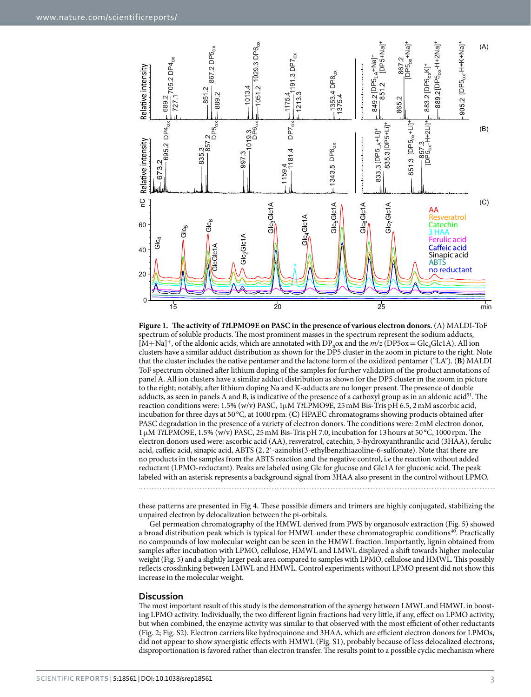

<span id="page-2-0"></span>

these patterns are presented in [Fig 4](#page-4-0). These possible dimers and trimers are highly conjugated, stabilizing the unpaired electron by delocalization between the pi-orbitals.

Gel permeation chromatography of the HMWL derived from PWS by organosolv extraction ([Fig. 5](#page-4-1)) showed a broad distribution peak which is typical for HMWL under these chromatographic conditions<sup>[40](#page-8-2)</sup>. Practically no compounds of low molecular weight can be seen in the HMWL fraction. Importantly, lignin obtained from samples after incubation with LPMO, cellulose, HMWL and LMWL displayed a shift towards higher molecular weight ([Fig. 5\)](#page-4-1) and a slightly larger peak area compared to samples with LPMO, cellulose and HMWL. This possibly reflects crosslinking between LMWL and HMWL. Control experiments without LPMO present did not show this increase in the molecular weight.

#### **Discussion**

The most important result of this study is the demonstration of the synergy between LMWL and HMWL in boosting LPMO activity. Individually, the two different lignin fractions had very little, if any, effect on LPMO activity, but when combined, the enzyme activity was similar to that observed with the most efficient of other reductants ([Fig. 2;](#page-3-0) Fig. S2). Electron carriers like hydroquinone and 3HAA, which are efficient electron donors for LPMOs, did not appear to show synergistic effects with HMWL (Fig. S1), probably because of less delocalized electrons, disproportionation is favored rather than electron transfer. The results point to a possible cyclic mechanism where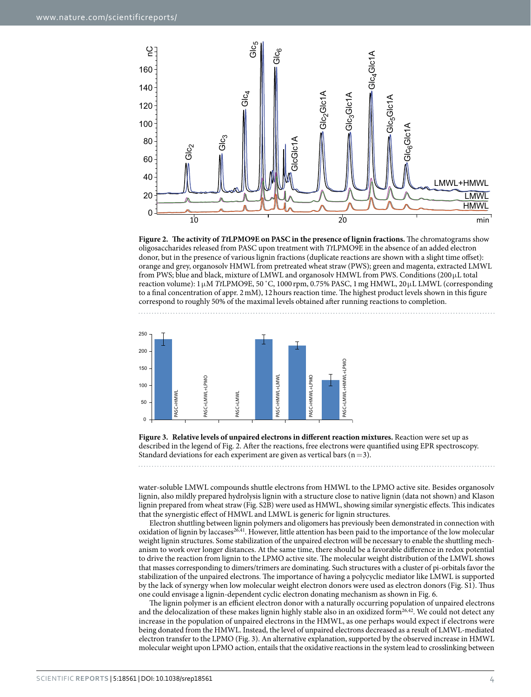

<span id="page-3-0"></span>**Figure 2. The activity of** *Tt***LPMO9E on PASC in the presence of lignin fractions.** The chromatograms show oligosaccharides released from PASC upon treatment with *Tt*LPMO9E in the absence of an added electron donor, but in the presence of various lignin fractions (duplicate reactions are shown with a slight time offset): orange and grey, organosolv HMWL from pretreated wheat straw (PWS); green and magenta, extracted LMWL from PWS; blue and black, mixture of LMWL and organosolv HMWL from PWS. Conditions  $(200 \mu L \text{ total})$ reaction volume): 1μM *Tt*LPMO9E, 50 ˚C, 1000 rpm, 0.75% PASC, 1mg HMWL, 20μL LMWL (corresponding to a final concentration of appr. 2mM), 12hours reaction time. The highest product levels shown in this figure correspond to roughly 50% of the maximal levels obtained after running reactions to completion.



<span id="page-3-1"></span>**Figure 3. Relative levels of unpaired electrons in different reaction mixtures.** Reaction were set up as described in the legend of [Fig. 2.](#page-3-0) After the reactions, free electrons were quantified using EPR spectroscopy. Standard deviations for each experiment are given as vertical bars  $(n=3)$ .

water-soluble LMWL compounds shuttle electrons from HMWL to the LPMO active site. Besides organosolv lignin, also mildly prepared hydrolysis lignin with a structure close to native lignin (data not shown) and Klason lignin prepared from wheat straw (Fig. S2B) were used as HMWL, showing similar synergistic effects. This indicates that the synergistic effect of HMWL and LMWL is generic for lignin structures.

Electron shuttling between lignin polymers and oligomers has previously been demonstrated in connection with oxidation of lignin by laccases<sup>26,41</sup>. However, little attention has been paid to the importance of the low molecular weight lignin structures. Some stabilization of the unpaired electron will be necessary to enable the shuttling mechanism to work over longer distances. At the same time, there should be a favorable difference in redox potential to drive the reaction from lignin to the LPMO active site. The molecular weight distribution of the LMWL shows that masses corresponding to dimers/trimers are dominating. Such structures with a cluster of pi-orbitals favor the stabilization of the unpaired electrons. The importance of having a polycyclic mediator like LMWL is supported by the lack of synergy when low molecular weight electron donors were used as electron donors (Fig. S1). Thus one could envisage a lignin-dependent cyclic electron donating mechanism as shown in [Fig. 6.](#page-4-2)

The lignin polymer is an efficient electron donor with a naturally occurring population of unpaired electrons and the delocalization of these makes lignin highly stable also in an oxidized form<sup>[26,](#page-7-17)42</sup>. We could not detect any increase in the population of unpaired electrons in the HMWL, as one perhaps would expect if electrons were being donated from the HMWL. Instead, the level of unpaired electrons decreased as a result of LMWL-mediated electron transfer to the LPMO [\(Fig. 3](#page-3-1)). An alternative explanation, supported by the observed increase in HMWL molecular weight upon LPMO action, entails that the oxidative reactions in the system lead to crosslinking between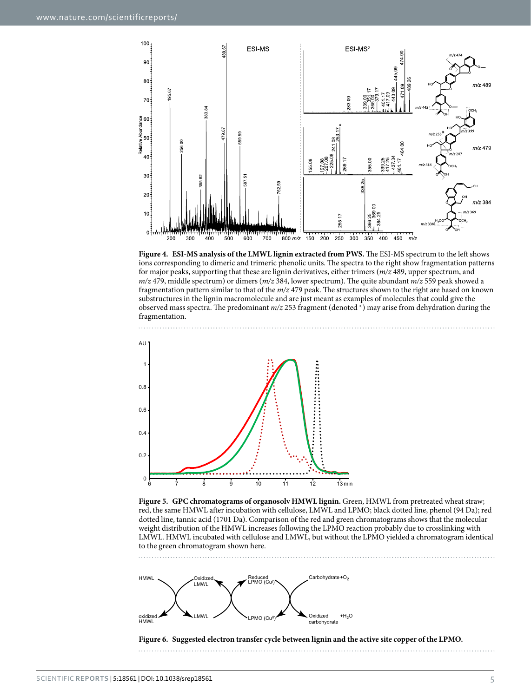

<span id="page-4-0"></span>**Figure 4. ESI-MS analysis of the LMWL lignin extracted from PWS.** The ESI-MS spectrum to the left shows ions corresponding to dimeric and trimeric phenolic units. The spectra to the right show fragmentation patterns for major peaks, supporting that these are lignin derivatives, either trimers (*m/z* 489, upper spectrum, and *m/z* 479, middle spectrum) or dimers (*m/z* 384, lower spectrum). The quite abundant *m/z* 559 peak showed a fragmentation pattern similar to that of the *m/z* 479 peak. The structures shown to the right are based on known substructures in the lignin macromolecule and are just meant as examples of molecules that could give the observed mass spectra. The predominant *m/z* 253 fragment (denoted \*) may arise from dehydration during the fragmentation.



<span id="page-4-1"></span>**Figure 5. GPC chromatograms of organosolv HMWL lignin.** Green, HMWL from pretreated wheat straw; red, the same HMWL after incubation with cellulose, LMWL and LPMO; black dotted line, phenol (94 Da); red dotted line, tannic acid (1701 Da). Comparison of the red and green chromatograms shows that the molecular weight distribution of the HMWL increases following the LPMO reaction probably due to crosslinking with LMWL. HMWL incubated with cellulose and LMWL, but without the LPMO yielded a chromatogram identical to the green chromatogram shown here.



<span id="page-4-2"></span>**Figure 6. Suggested electron transfer cycle between lignin and the active site copper of the LPMO.**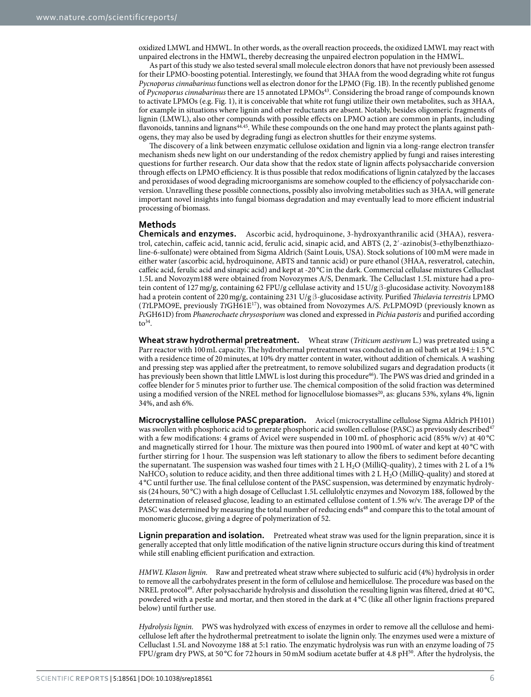oxidized LMWL and HMWL. In other words, as the overall reaction proceeds, the oxidized LMWL may react with unpaired electrons in the HMWL, thereby decreasing the unpaired electron population in the HMWL.

As part of this study we also tested several small molecule electron donors that have not previously been assessed for their LPMO-boosting potential. Interestingly, we found that 3HAA from the wood degrading white rot fungus *Pycnoporus cinnabarinus* functions well as electron donor for the LPMO ([Fig. 1B](#page-2-0)). In the recently published genome of *Pycnoporus cinnabarinus* there are 15 annotated LPMOs<sup>[43](#page-8-6)</sup>. Considering the broad range of compounds known to activate LPMOs (e.g. [Fig. 1](#page-2-0)), it is conceivable that white rot fungi utilize their own metabolites, such as 3HAA, for example in situations where lignin and other reductants are absent. Notably, besides oligomeric fragments of lignin (LMWL), also other compounds with possible effects on LPMO action are common in plants, including flavonoids, tannins and lignans<sup>[44](#page-8-7),[45](#page-8-8)</sup>. While these compounds on the one hand may protect the plants against pathogens, they may also be used by degrading fungi as electron shuttles for their enzyme systems.

The discovery of a link between enzymatic cellulose oxidation and lignin via a long-range electron transfer mechanism sheds new light on our understanding of the redox chemistry applied by fungi and raises interesting questions for further research. Our data show that the redox state of lignin affects polysaccharide conversion through effects on LPMO efficiency. It is thus possible that redox modifications of lignin catalyzed by the laccases and peroxidases of wood degrading microorganisms are somehow coupled to the efficiency of polysaccharide conversion. Unravelling these possible connections, possibly also involving metabolities such as 3HAA, will generate important novel insights into fungal biomass degradation and may eventually lead to more efficient industrial processing of biomass.

### **Methods**

**Chemicals and enzymes.** Ascorbic acid, hydroquinone, 3-hydroxyanthranilic acid (3HAA), resveratrol, catechin, caffeic acid, tannic acid, ferulic acid, sinapic acid, and ABTS (2, 2′-azinobis(3-ethylbenzthiazoline-6-sulfonate) were obtained from Sigma Aldrich (Saint Louis, USA). Stock solutions of 100 mM were made in either water (ascorbic acid, hydroquinone, ABTS and tannic acid) or pure ethanol (3HAA, resveratrol, catechin, caffeic acid, ferulic acid and sinapic acid) and kept at -20 °C in the dark. Commercial cellulase mixtures Celluclast 1.5L and Novozym188 were obtained from Novozymes A/S, Denmark. The Celluclast 1.5L mixture had a protein content of 127mg/g, containing 62 FPU/g cellulase activity and 15U/g β-glucosidase activity. Novozym188 had a protein content of 220mg/g, containing 231 U/g β-glucosidase activity. Purified *Thielavia terrestris* LPMO (*Tt*LPMO9E, previously *Tt*GH61[E17\)](#page-7-8), was obtained from Novozymes A/S. *Pc*LPMO9D (previously known as *Pc*GH61D) from *Phanerochaete chrysosporium* was cloned and expressed in *Pichia pastoris* and purified according  $to$ <sup>34</sup>.

**Wheat straw hydrothermal pretreatment.** Wheat straw (*Triticum aestivum* L.) was pretreated using a Parr reactor with 100mL capacity. The hydrothermal pretreatment was conducted in an oil bath set at 194±1.5°C with a residence time of 20minutes, at 10% dry matter content in water, without addition of chemicals. A washing and pressing step was applied after the pretreatment, to remove solubilized sugars and degradation products (it has previously been shown that little LMWL is lost during this procedure<sup>46</sup>). The PWS was dried and grinded in a coffee blender for 5 minutes prior to further use. The chemical composition of the solid fraction was determined using a modified version of the NREL method for lignocellulose biomasses<sup>[20](#page-7-11)</sup>, as: glucans 53%, xylans 4%, lignin 34%, and ash 6%.

**Microcrystalline cellulose PASC preparation.** Avicel (microcrystalline cellulose Sigma Aldrich PH101) was swollen with phosphoric acid to generate phosphoric acid swollen cellulose (PASC) as previously described<sup>47</sup> with a few modifications: 4 grams of Avicel were suspended in 100 mL of phosphoric acid (85% w/v) at 40 °C and magnetically stirred for 1 hour. The mixture was then poured into 1900mL of water and kept at 40 °C with further stirring for 1 hour. The suspension was left stationary to allow the fibers to sediment before decanting the supernatant. The suspension was washed four times with 2 L H<sub>2</sub>O (MilliQ-quality), 2 times with 2 L of a 1% NaHCO<sub>3</sub> solution to reduce acidity, and then three additional times with 2 L H<sub>2</sub>O (MilliQ-quality) and stored at 4 °C until further use. The final cellulose content of the PASC suspension, was determined by enzymatic hydrolysis (24hours, 50 °C) with a high dosage of Celluclast 1.5L cellulolytic enzymes and Novozym 188, followed by the determination of released glucose, leading to an estimated cellulose content of 1.5% w/v. The average DP of the PASC was determined by measuring the total number of reducing ends<sup>48</sup> and compare this to the total amount of monomeric glucose, giving a degree of polymerization of 52.

**Lignin preparation and isolation.** Pretreated wheat straw was used for the lignin preparation, since it is generally accepted that only little modification of the native lignin structure occurs during this kind of treatment while still enabling efficient purification and extraction.

*HMWL Klason lignin.* Raw and pretreated wheat straw where subjected to sulfuric acid (4%) hydrolysis in order to remove all the carbohydrates present in the form of cellulose and hemicellulose. The procedure was based on the NREL protocol[49.](#page-8-12) After polysaccharide hydrolysis and dissolution the resulting lignin was filtered, dried at 40 °C, powdered with a pestle and mortar, and then stored in the dark at 4 °C (like all other lignin fractions prepared below) until further use.

*Hydrolysis lignin.* PWS was hydrolyzed with excess of enzymes in order to remove all the cellulose and hemicellulose left after the hydrothermal pretreatment to isolate the lignin only. The enzymes used were a mixture of Celluclast 1.5L and Novozyme 188 at 5:1 ratio. The enzymatic hydrolysis was run with an enzyme loading of 75 FPU/gram dry PWS, at 50 °C for 72hours in 50mM sodium acetate buffer at 4.8 p[H50.](#page-8-13) After the hydrolysis, the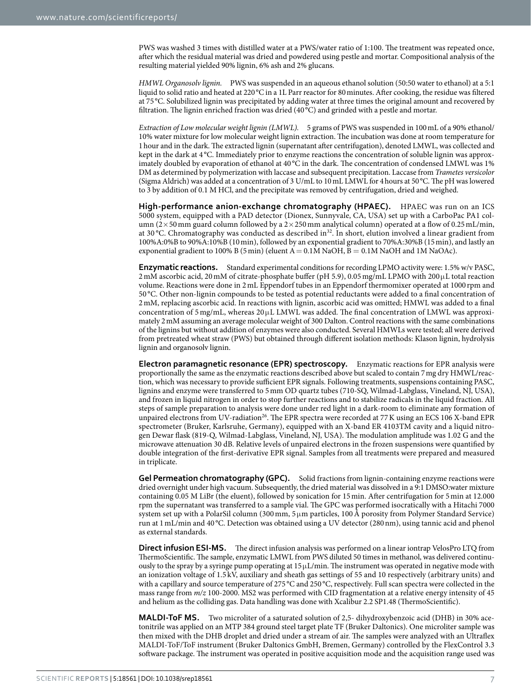PWS was washed 3 times with distilled water at a PWS/water ratio of 1:100. The treatment was repeated once, after which the residual material was dried and powdered using pestle and mortar. Compositional analysis of the resulting material yielded 90% lignin, 6% ash and 2% glucans.

*HMWL Organosolv lignin.* PWS was suspended in an aqueous ethanol solution (50:50 water to ethanol) at a 5:1 liquid to solid ratio and heated at 220 °C in a 1L Parr reactor for 80 minutes. After cooking, the residue was filtered at 75 °C. Solubilized lignin was precipitated by adding water at three times the original amount and recovered by filtration. The lignin enriched fraction was dried (40 °C) and grinded with a pestle and mortar.

*Extraction of Low molecular weight lignin (LMWL).* 5 grams of PWS was suspended in 100mL of a 90% ethanol/ 10% water mixture for low molecular weight lignin extraction. The incubation was done at room temperature for 1hour and in the dark. The extracted lignin (supernatant after centrifugation), denoted LMWL, was collected and kept in the dark at 4 °C. Immediately prior to enzyme reactions the concentration of soluble lignin was approximately doubled by evaporation of ethanol at 40 °C in the dark. The concentration of condensed LMWL was 1% DM as determined by polymerization with laccase and subsequent precipitation. Laccase from *Trametes versicolor* (Sigma Aldrich) was added at a concentration of 3 U/mL to 10mL LMWL for 4hours at 50°C. The pH was lowered to 3 by addition of 0.1 M HCl, and the precipitate was removed by centrifugation, dried and weighed.

**High-performance anion-exchange chromatography (HPAEC).** HPAEC was run on an ICS 5000 system, equipped with a PAD detector (Dionex, Sunnyvale, CA, USA) set up with a CarboPac PA1 column ( $2\times50$  mm guard column followed by a  $2\times250$  mm analytical column) operated at a flow of 0.25 mL/min, at 30 °C. Chromatography was conducted as described in<sup>32</sup>. In short, elution involved a linear gradient from 100%A:0%B to 90%A:10%B (10min), followed by an exponential gradient to 70%A:30%B (15min), and lastly an exponential gradient to 100% B (5 min) (eluent  $A = 0.1M$  NaOH,  $B = 0.1M$  NaOH and 1M NaOAc).

**Enzymatic reactions.** Standard experimental conditions for recording LPMO activity were: 1.5% w/v PASC, 2mM ascorbic acid, 20 mM of citrate-phosphate buffer (pH 5.9), 0.05 mg/mL LPMO with 200 μL total reaction volume. Reactions were done in 2mL Eppendorf tubes in an Eppendorf thermomixer operated at 1000 rpm and 50 °C. Other non-lignin compounds to be tested as potential reductants were added to a final concentration of 2mM, replacing ascorbic acid. In reactions with lignin, ascorbic acid was omitted; HMWL was added to a final concentration of 5 mg/mL, whereas 20 μL LMWL was added. The final concentration of LMWL was approximately 2mM assuming an average molecular weight of 300 Dalton. Control reactions with the same combinations of the lignins but without addition of enzymes were also conducted. Several HMWLs were tested; all were derived from pretreated wheat straw (PWS) but obtained through different isolation methods: Klason lignin, hydrolysis lignin and organosolv lignin.

**Electron paramagnetic resonance (EPR) spectroscopy.** Enzymatic reactions for EPR analysis were proportionally the same as the enzymatic reactions described above but scaled to contain 7mg dry HMWL/reaction, which was necessary to provide sufficient EPR signals. Following treatments, suspensions containing PASC, lignins and enzyme were transferred to 5mm OD quartz tubes (710-SQ, Wilmad-Labglass, Vineland, NJ, USA), and frozen in liquid nitrogen in order to stop further reactions and to stabilize radicals in the liquid fraction. All steps of sample preparation to analysis were done under red light in a dark-room to eliminate any formation of unpaired electrons from UV-radiation<sup>[26](#page-7-17)</sup>. The EPR spectra were recorded at 77 K using an ECS 106 X-band EPR spectrometer (Bruker, Karlsruhe, Germany), equipped with an X-band ER 4103TM cavity and a liquid nitrogen Dewar flask (819-Q, Wilmad-Labglass, Vineland, NJ, USA). The modulation amplitude was 1.02 G and the microwave attenuation 30 dB. Relative levels of unpaired electrons in the frozen suspensions were quantified by double integration of the first-derivative EPR signal. Samples from all treatments were prepared and measured in triplicate.

**Gel Permeation chromatography (GPC).** Solid fractions from lignin-containing enzyme reactions were dried overnight under high vacuum. Subsequently, the dried material was dissolved in a 9:1 DMSO:water mixture containing 0.05 M LiBr (the eluent), followed by sonication for 15min. After centrifugation for 5min at 12.000 rpm the supernatant was transferred to a sample vial. The GPC was performed isocratically with a Hitachi 7000 system set up with a PolarSil column (300 mm,  $5 \mu$ m particles, 100 Å porosity from Polymer Standard Service) run at 1mL/min and 40 °C. Detection was obtained using a UV detector (280nm), using tannic acid and phenol as external standards.

**Direct infusion ESI-MS.** The direct infusion analysis was performed on a linear iontrap VelosPro LTQ from ThermoScientific. The sample, enzymatic LMWL from PWS diluted 50 times in methanol, was delivered continuously to the spray by a syringe pump operating at 15 μL/min. The instrument was operated in negative mode with an ionization voltage of 1.5 kV, auxiliary and sheath gas settings of 55 and 10 respectively (arbitrary units) and with a capillary and source temperature of 275 °C and 250 °C, respectively. Full scan spectra were collected in the mass range from *m/z* 100-2000. MS2 was performed with CID fragmentation at a relative energy intensity of 45 and helium as the colliding gas. Data handling was done with Xcalibur 2.2 SP1.48 (ThermoScientific).

**MALDI-ToF MS.** Two microliter of a saturated solution of 2,5- dihydroxybenzoic acid (DHB) in 30% acetonitrile was applied on an MTP 384 ground steel target plate TF (Bruker Daltonics). One microliter sample was then mixed with the DHB droplet and dried under a stream of air. The samples were analyzed with an Ultraflex MALDI-ToF/ToF instrument (Bruker Daltonics GmbH, Bremen, Germany) controlled by the FlexControl 3.3 software package. The instrument was operated in positive acquisition mode and the acquisition range used was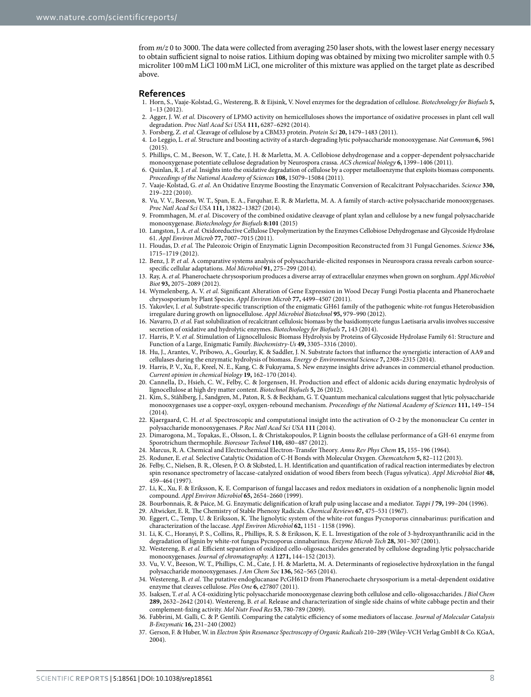from  $m/z$  0 to 3000. The data were collected from averaging 250 laser shots, with the lowest laser energy necessary to obtain sufficient signal to noise ratios. Lithium doping was obtained by mixing two microliter sample with 0.5 microliter 100mM LiCl 100mM LiCl, one microliter of this mixture was applied on the target plate as described above.

#### **References**

- <span id="page-7-0"></span>1. Horn, S., Vaaje-Kolstad, G., Westereng, B. & Eijsink, V. Novel enzymes for the degradation of cellulose. *Biotechnology for Biofuels* **5,** 1–13 (2012).
- <span id="page-7-1"></span>2. Agger, J. W. *et al.* Discovery of LPMO activity on hemicelluloses shows the importance of oxidative processes in plant cell wall degradation. *Proc Natl Acad Sci USA* **111,** 6287–6292 (2014).
- 3. Forsberg, Z. *et al.* Cleavage of cellulose by a CBM33 protein. *Protein Sci* **20,** 1479–1483 (2011).
- 4. Lo Leggio, L. *et al.* Structure and boosting activity of a starch-degrading lytic polysaccharide monooxygenase. *Nat Commun* **6,** 5961 (2015).
- 5. Phillips, C. M., Beeson, W. T., Cate, J. H. & Marletta, M. A. Cellobiose dehydrogenase and a copper-dependent polysaccharide monooxygenase potentiate cellulose degradation by Neurospora crassa. *ACS chemical biology* **6,** 1399–1406 (2011).
- <span id="page-7-4"></span>6. Quinlan, R. J. *et al.* Insights into the oxidative degradation of cellulose by a copper metalloenzyme that exploits biomass components. *Proceedings of the National Academy of Sciences* **108,** 15079–15084 (2011).
- <span id="page-7-3"></span>7. Vaaje-Kolstad, G. *et al.* An Oxidative Enzyme Boosting the Enzymatic Conversion of Recalcitrant Polysaccharides. *Science* **330,** 219–222 (2010).
- 8. Vu, V. V., Beeson, W. T., Span, E. A., Farquhar, E. R. & Marletta, M. A. A family of starch-active polysaccharide monooxygenases. *Proc Natl Acad Sci USA* **111,** 13822–13827 (2014).
- 9. Frommhagen, M. *et al.* Discovery of the combined oxidative cleavage of plant xylan and cellulose by a new fungal polysaccharide monooxygenase. *Biotechnology for Biofuels* **8:101** (2015)
- <span id="page-7-2"></span>10. Langston, J. A. *et al.* Oxidoreductive Cellulose Depolymerization by the Enzymes Cellobiose Dehydrogenase and Glycoside Hydrolase 61. *Appl Environ Microb* **77,** 7007–7015 (2011).
- <span id="page-7-5"></span>11. Floudas, D. *et al.* The Paleozoic Origin of Enzymatic Lignin Decomposition Reconstructed from 31 Fungal Genomes. *Science* **336,** 1715–1719 (2012).
- <span id="page-7-6"></span>12. Benz, J. P. *et al.* A comparative systems analysis of polysaccharide-elicited responses in Neurospora crassa reveals carbon sourcespecific cellular adaptations. *Mol Microbiol* **91,** 275–299 (2014).
- <span id="page-7-7"></span>13. Ray, A. *et al.* Phanerochaete chrysosporium produces a diverse array of extracellular enzymes when grown on sorghum. *Appl Microbiol Biot* **93,** 2075–2089 (2012).
- 14. Wymelenberg, A. V. *et al.* Significant Alteration of Gene Expression in Wood Decay Fungi Postia placenta and Phanerochaete chrysosporium by Plant Species. *Appl Environ Microb* **77,** 4499–4507 (2011).
- 15. Yakovlev, I. *et al.* Substrate-specific transcription of the enigmatic GH61 family of the pathogenic white-rot fungus Heterobasidion irregulare during growth on lignocellulose. *Appl Microbiol Biotechnol* **95,** 979–990 (2012).
- 16. Navarro, D. *et al.* Fast solubilization of recalcitrant cellulosic biomass by the basidiomycete fungus Laetisaria arvalis involves successive secretion of oxidative and hydrolytic enzymes. *Biotechnology for Biofuels* **7,** 143 (2014).
- <span id="page-7-8"></span>17. Harris, P. V. *et al.* Stimulation of Lignocellulosic Biomass Hydrolysis by Proteins of Glycoside Hydrolase Family 61: Structure and Function of a Large, Enigmatic Family. *Biochemistry-Us* **49,** 3305–3316 (2010).
- <span id="page-7-9"></span>18. Hu, J., Arantes, V., Pribowo, A., Gourlay, K. & Saddler, J. N. Substrate factors that influence the synergistic interaction of AA9 and cellulases during the enzymatic hydrolysis of biomass. *Energy & Environmental Science* **7,** 2308–2315 (2014).
- <span id="page-7-10"></span>19. Harris, P. V., Xu, F., Kreel, N. E., Kang, C. & Fukuyama, S. New enzyme insights drive advances in commercial ethanol production. *Current opinion in chemical biology* **19,** 162–170 (2014).
- <span id="page-7-11"></span>20. Cannella, D., Hsieh, C. W., Felby, C. & Jorgensen, H. Production and effect of aldonic acids during enzymatic hydrolysis of lignocellulose at high dry matter content. *Biotechnol Biofuels* **5,** 26 (2012).
- <span id="page-7-12"></span>21. Kim, S., Ståhlberg, J., Sandgren, M., Paton, R. S. & Beckham, G. T. Quantum mechanical calculations suggest that lytic polysaccharide monooxygenases use a copper-oxyl, oxygen-rebound mechanism. *Proceedings of the National Academy of Sciences* **111,** 149–154 (2014).
- <span id="page-7-13"></span>22. Kjaergaard, C. H. *et al.* Spectroscopic and computational insight into the activation of O-2 by the mononuclear Cu center in polysaccharide monooxygenases. *P Roc Natl Acad Sci USA* **111** (2014).
- <span id="page-7-14"></span>23. Dimarogona, M., Topakas, E., Olsson, L. & Christakopoulos, P. Lignin boosts the cellulase performance of a GH-61 enzyme from Sporotrichum thermophile. *Bioresour Technol* **110,** 480–487 (2012).
- <span id="page-7-15"></span>24. Marcus, R. A. Chemical and Electrochemical Electron-Transfer Theory. *Annu Rev Phys Chem* **15,** 155–196 (1964).
- <span id="page-7-16"></span>25. Roduner, E. *et al.* Selective Catalytic Oxidation of C-H Bonds with Molecular Oxygen. *Chemcatchem* **5,** 82–112 (2013).
- <span id="page-7-17"></span>26. Felby, C., Nielsen, B. R., Olesen, P. O. & Skibsted, L. H. Identification and quantification of radical reaction intermediates by electron spin resonance spectrometry of laccase-catalyzed oxidation of wood fibers from beech (Fagus sylvatica). *Appl Microbiol Biot* **48,** 459–464 (1997).
- <span id="page-7-18"></span>27. Li, K., Xu, F. & Eriksson, K. E. Comparison of fungal laccases and redox mediators in oxidation of a nonphenolic lignin model compound. *Appl Environ Microbiol* **65,** 2654–2660 (1999).
- <span id="page-7-19"></span>28. Bourbonnais, R. & Paice, M. G. Enzymatic delignification of kraft pulp using laccase and a mediator. *Tappi J* **79,** 199–204 (1996).
- <span id="page-7-20"></span>29. Altwicker, E. R. The Chemistry of Stable Phenoxy Radicals. *Chemical Reviews* **67,** 475–531 (1967).
- <span id="page-7-21"></span>30. Eggert, C., Temp, U. & Eriksson, K. The lignolytic system of the white-rot fungus Pycnoporus cinnabarinus: purification and characterization of the laccase. *Appl Environ Microbiol* **62,** 1151 - 1158 (1996).
- <span id="page-7-22"></span>31. Li, K. C., Horanyi, P. S., Collins, R., Phillips, R. S. & Eriksson, K. E. L. Investigation of the role of 3-hydroxyanthranilic acid in the degradation of lignin by white-rot fungus Pycnoporus cinnabarinus. *Enzyme Microb Tech* **28,** 301–307 (2001).
- <span id="page-7-23"></span>32. Westereng, B. *et al.* Efficient separation of oxidized cello-oligosaccharides generated by cellulose degrading lytic polysaccharide monooxygenases. *Journal of chromatography. A* **1271,** 144–152 (2013).
- <span id="page-7-24"></span>33. Vu, V. V., Beeson, W. T., Phillips, C. M., Cate, J. H. & Marletta, M. A. Determinants of regioselective hydroxylation in the fungal polysaccharide monooxygenases. *J Am Chem Soc* **136,** 562–565 (2014).
- <span id="page-7-25"></span>34. Westereng, B. *et al.* The putative endoglucanase PcGH61D from Phanerochaete chrysosporium is a metal-dependent oxidative enzyme that cleaves cellulose. *Plos One* **6,** e27807 (2011).
- <span id="page-7-26"></span>35. Isaksen, T. *et al.* A C4-oxidizing lytic polysaccharide monooxygenase cleaving both cellulose and cello-oligosaccharides. *J Biol Chem* **289,** 2632–2642 (2014). Westereng, B. *et al*. Release and characterization of single side chains of white cabbage pectin and their complement-fixing activity. *Mol Nutr Food Res* **53**, 780-789 (2009).
- 36. Fabbrini, M. Galli, C. & P. Gentili. Comparing the catalytic efficiency of some mediators of laccase. *Journal of Molecular Catalysis B-Enzymatic* **16,** 231–240 (2002)
- <span id="page-7-27"></span>37. Gerson, F. & Huber, W. in *Electron Spin Resonance Spectroscopy of Organic Radicals* 210–289 (Wiley-VCH Verlag GmbH & Co. KGaA, 2004).